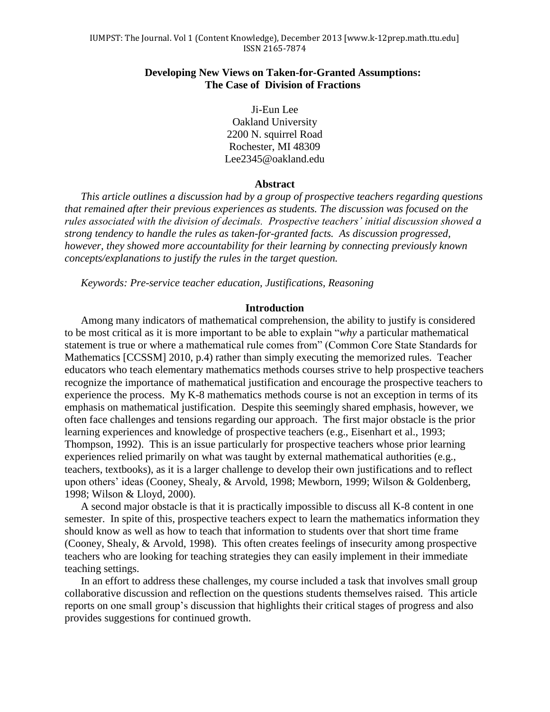## **Developing New Views on Taken-for-Granted Assumptions: The Case of Division of Fractions**

Ji-Eun Lee Oakland University 2200 N. squirrel Road Rochester, MI 48309 [Lee2345@oakland.edu](mailto:Lee2345@oakland.edu)

#### **Abstract**

*This article outlines a discussion had by a group of prospective teachers regarding questions that remained after their previous experiences as students. The discussion was focused on the rules associated with the division of decimals. Prospective teachers' initial discussion showed a strong tendency to handle the rules as taken-for-granted facts. As discussion progressed, however, they showed more accountability for their learning by connecting previously known concepts/explanations to justify the rules in the target question.* 

*Keywords: Pre-service teacher education, Justifications, Reasoning*

#### **Introduction**

Among many indicators of mathematical comprehension, the ability to justify is considered to be most critical as it is more important to be able to explain "*why* a particular mathematical statement is true or where a mathematical rule comes from" (Common Core State Standards for Mathematics [CCSSM] 2010, p.4) rather than simply executing the memorized rules. Teacher educators who teach elementary mathematics methods courses strive to help prospective teachers recognize the importance of mathematical justification and encourage the prospective teachers to experience the process. My K-8 mathematics methods course is not an exception in terms of its emphasis on mathematical justification. Despite this seemingly shared emphasis, however, we often face challenges and tensions regarding our approach. The first major obstacle is the prior learning experiences and knowledge of prospective teachers (e.g., Eisenhart et al., 1993; Thompson, 1992). This is an issue particularly for prospective teachers whose prior learning experiences relied primarily on what was taught by external mathematical authorities (e.g., teachers, textbooks), as it is a larger challenge to develop their own justifications and to reflect upon others' ideas (Cooney, Shealy, & Arvold, 1998; Mewborn, 1999; Wilson & Goldenberg, 1998; Wilson & Lloyd, 2000).

A second major obstacle is that it is practically impossible to discuss all K-8 content in one semester. In spite of this, prospective teachers expect to learn the mathematics information they should know as well as how to teach that information to students over that short time frame (Cooney, Shealy, & Arvold, 1998). This often creates feelings of insecurity among prospective teachers who are looking for teaching strategies they can easily implement in their immediate teaching settings.

In an effort to address these challenges, my course included a task that involves small group collaborative discussion and reflection on the questions students themselves raised. This article reports on one small group's discussion that highlights their critical stages of progress and also provides suggestions for continued growth.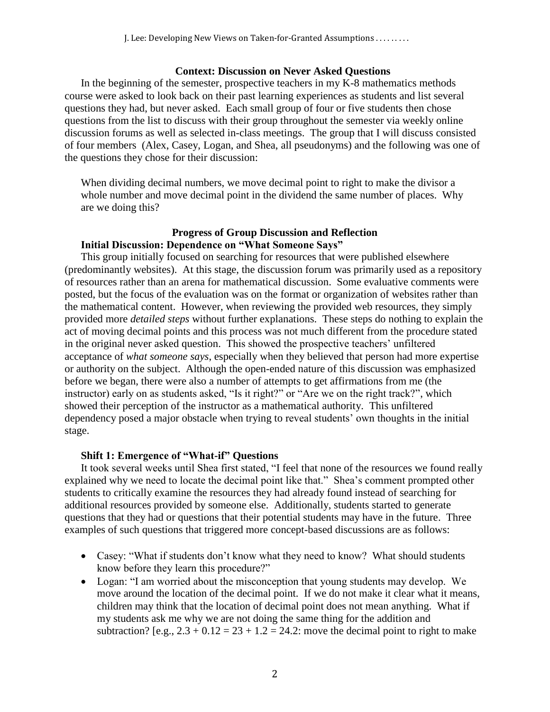## **Context: Discussion on Never Asked Questions**

In the beginning of the semester, prospective teachers in my K-8 mathematics methods course were asked to look back on their past learning experiences as students and list several questions they had, but never asked. Each small group of four or five students then chose questions from the list to discuss with their group throughout the semester via weekly online discussion forums as well as selected in-class meetings. The group that I will discuss consisted of four members (Alex, Casey, Logan, and Shea, all pseudonyms) and the following was one of the questions they chose for their discussion:

When dividing decimal numbers, we move decimal point to right to make the divisor a whole number and move decimal point in the dividend the same number of places. Why are we doing this?

# **Progress of Group Discussion and Reflection Initial Discussion: Dependence on "What Someone Says"**

This group initially focused on searching for resources that were published elsewhere (predominantly websites). At this stage, the discussion forum was primarily used as a repository of resources rather than an arena for mathematical discussion. Some evaluative comments were posted, but the focus of the evaluation was on the format or organization of websites rather than the mathematical content. However, when reviewing the provided web resources, they simply provided more *detailed steps* without further explanations. These steps do nothing to explain the act of moving decimal points and this process was not much different from the procedure stated in the original never asked question. This showed the prospective teachers' unfiltered acceptance of *what someone says*, especially when they believed that person had more expertise or authority on the subject. Although the open-ended nature of this discussion was emphasized before we began, there were also a number of attempts to get affirmations from me (the instructor) early on as students asked, "Is it right?" or "Are we on the right track?", which showed their perception of the instructor as a mathematical authority. This unfiltered dependency posed a major obstacle when trying to reveal students' own thoughts in the initial stage.

# **Shift 1: Emergence of "What-if" Questions**

It took several weeks until Shea first stated, "I feel that none of the resources we found really explained why we need to locate the decimal point like that." Shea's comment prompted other students to critically examine the resources they had already found instead of searching for additional resources provided by someone else. Additionally, students started to generate questions that they had or questions that their potential students may have in the future. Three examples of such questions that triggered more concept-based discussions are as follows:

- Casey: "What if students don't know what they need to know? What should students know before they learn this procedure?"
- Logan: "I am worried about the misconception that young students may develop. We move around the location of the decimal point. If we do not make it clear what it means, children may think that the location of decimal point does not mean anything. What if my students ask me why we are not doing the same thing for the addition and subtraction? [e.g.,  $2.3 + 0.12 = 23 + 1.2 = 24.2$ : move the decimal point to right to make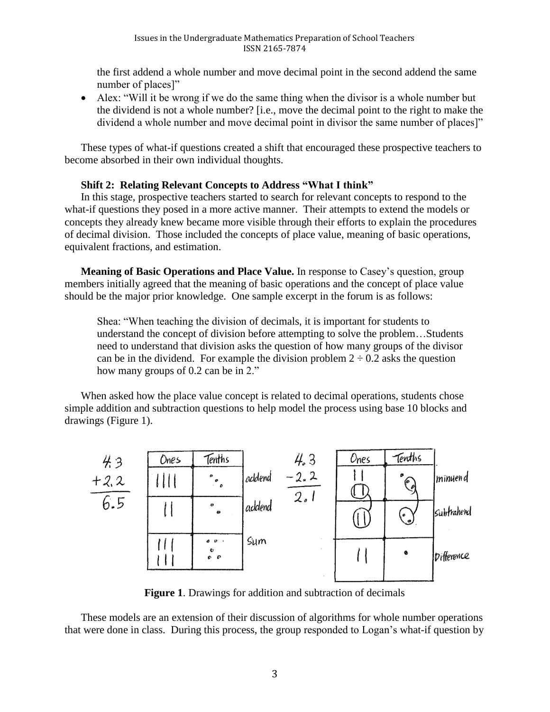the first addend a whole number and move decimal point in the second addend the same number of places]"

 Alex: "Will it be wrong if we do the same thing when the divisor is a whole number but the dividend is not a whole number? [i.e., move the decimal point to the right to make the dividend a whole number and move decimal point in divisor the same number of places]"

These types of what-if questions created a shift that encouraged these prospective teachers to become absorbed in their own individual thoughts.

# **Shift 2: Relating Relevant Concepts to Address "What I think"**

In this stage, prospective teachers started to search for relevant concepts to respond to the what-if questions they posed in a more active manner. Their attempts to extend the models or concepts they already knew became more visible through their efforts to explain the procedures of decimal division. Those included the concepts of place value, meaning of basic operations, equivalent fractions, and estimation.

**Meaning of Basic Operations and Place Value.** In response to Casey's question, group members initially agreed that the meaning of basic operations and the concept of place value should be the major prior knowledge. One sample excerpt in the forum is as follows:

Shea: "When teaching the division of decimals, it is important for students to understand the concept of division before attempting to solve the problem…Students need to understand that division asks the question of how many groups of the divisor can be in the dividend. For example the division problem  $2 \div 0.2$  asks the question how many groups of 0.2 can be in 2."

When asked how the place value concept is related to decimal operations, students chose simple addition and subtraction questions to help model the process using base 10 blocks and drawings (Figure 1).



**Figure 1**. Drawings for addition and subtraction of decimals

These models are an extension of their discussion of algorithms for whole number operations that were done in class. During this process, the group responded to Logan's what-if question by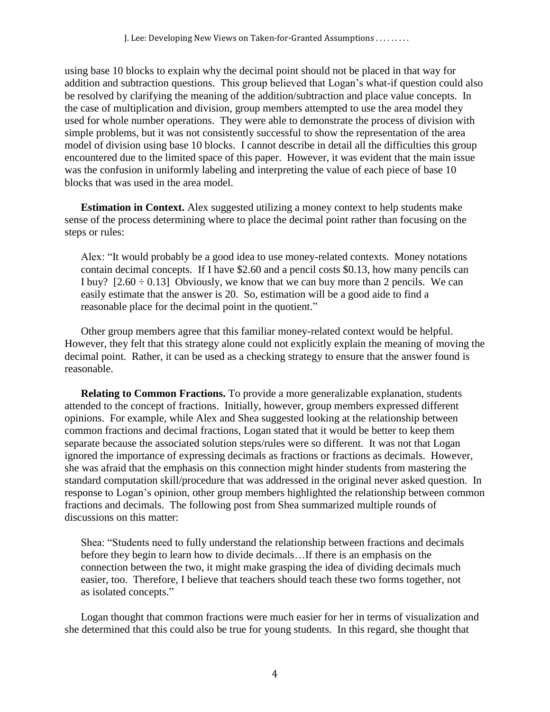using base 10 blocks to explain why the decimal point should not be placed in that way for addition and subtraction questions. This group believed that Logan's what-if question could also be resolved by clarifying the meaning of the addition/subtraction and place value concepts. In the case of multiplication and division, group members attempted to use the area model they used for whole number operations. They were able to demonstrate the process of division with simple problems, but it was not consistently successful to show the representation of the area model of division using base 10 blocks. I cannot describe in detail all the difficulties this group encountered due to the limited space of this paper. However, it was evident that the main issue was the confusion in uniformly labeling and interpreting the value of each piece of base 10 blocks that was used in the area model.

**Estimation in Context.** Alex suggested utilizing a money context to help students make sense of the process determining where to place the decimal point rather than focusing on the steps or rules:

Alex: "It would probably be a good idea to use money-related contexts. Money notations contain decimal concepts. If I have \$2.60 and a pencil costs \$0.13, how many pencils can I buy?  $[2.60 \div 0.13]$  Obviously, we know that we can buy more than 2 pencils. We can easily estimate that the answer is 20. So, estimation will be a good aide to find a reasonable place for the decimal point in the quotient."

Other group members agree that this familiar money-related context would be helpful. However, they felt that this strategy alone could not explicitly explain the meaning of moving the decimal point. Rather, it can be used as a checking strategy to ensure that the answer found is reasonable.

**Relating to Common Fractions.** To provide a more generalizable explanation, students attended to the concept of fractions. Initially, however, group members expressed different opinions. For example, while Alex and Shea suggested looking at the relationship between common fractions and decimal fractions, Logan stated that it would be better to keep them separate because the associated solution steps/rules were so different. It was not that Logan ignored the importance of expressing decimals as fractions or fractions as decimals. However, she was afraid that the emphasis on this connection might hinder students from mastering the standard computation skill/procedure that was addressed in the original never asked question. In response to Logan's opinion, other group members highlighted the relationship between common fractions and decimals. The following post from Shea summarized multiple rounds of discussions on this matter:

Shea: "Students need to fully understand the relationship between fractions and decimals before they begin to learn how to divide decimals…If there is an emphasis on the connection between the two, it might make grasping the idea of dividing decimals much easier, too. Therefore, I believe that teachers should teach these two forms together, not as isolated concepts."

Logan thought that common fractions were much easier for her in terms of visualization and she determined that this could also be true for young students. In this regard, she thought that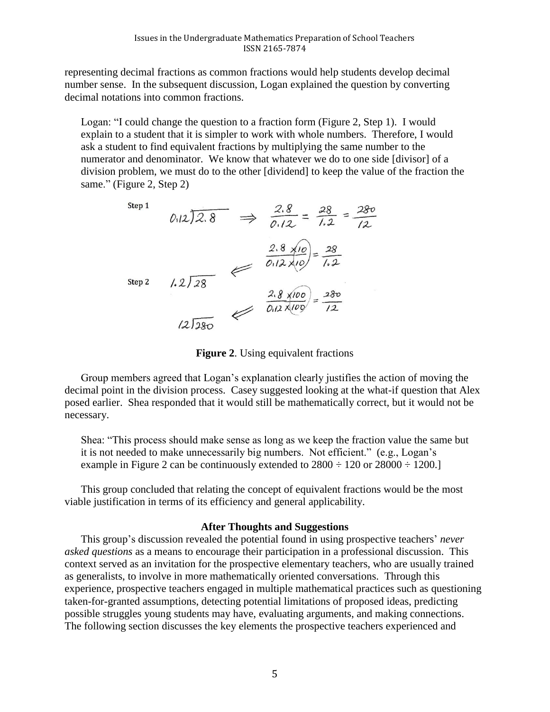representing decimal fractions as common fractions would help students develop decimal number sense. In the subsequent discussion, Logan explained the question by converting decimal notations into common fractions.

Logan: "I could change the question to a fraction form (Figure 2, Step 1). I would explain to a student that it is simpler to work with whole numbers. Therefore, I would ask a student to find equivalent fractions by multiplying the same number to the numerator and denominator. We know that whatever we do to one side [divisor] of a division problem, we must do to the other [dividend] to keep the value of the fraction the same." (Figure 2, Step 2)

Step 1  
\n
$$
0.12\sqrt{2.8}
$$
  $\implies \frac{2.8}{0.12} = \frac{28}{1.2} = \frac{280}{12}$   
\nStep 2  
\n $1.2\sqrt{28}$   
\n $2.8 \times 10 = 28$   
\n $0.12 \times 10 = 28$   
\n $2.8 \times 100 = 28$   
\n $0.12 \times 100 = 280$   
\n $2.8 \times 100 = 280$   
\n $2.8 \times 100 = 280$ 

**Figure 2**. Using equivalent fractions

Group members agreed that Logan's explanation clearly justifies the action of moving the decimal point in the division process. Casey suggested looking at the what-if question that Alex posed earlier. Shea responded that it would still be mathematically correct, but it would not be necessary.

Shea: "This process should make sense as long as we keep the fraction value the same but it is not needed to make unnecessarily big numbers. Not efficient." (e.g., Logan's example in Figure 2 can be continuously extended to  $2800 \div 120$  or  $28000 \div 1200$ .

This group concluded that relating the concept of equivalent fractions would be the most viable justification in terms of its efficiency and general applicability.

### **After Thoughts and Suggestions**

This group's discussion revealed the potential found in using prospective teachers' *never asked questions* as a means to encourage their participation in a professional discussion. This context served as an invitation for the prospective elementary teachers, who are usually trained as generalists, to involve in more mathematically oriented conversations. Through this experience, prospective teachers engaged in multiple mathematical practices such as questioning taken-for-granted assumptions, detecting potential limitations of proposed ideas, predicting possible struggles young students may have, evaluating arguments, and making connections. The following section discusses the key elements the prospective teachers experienced and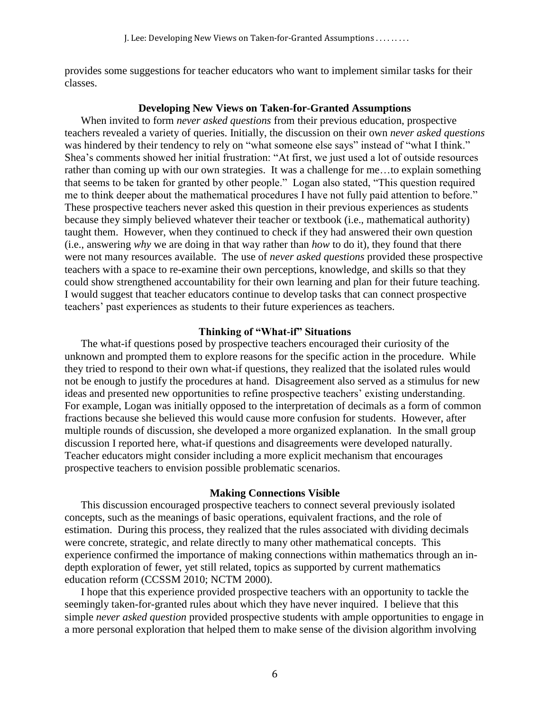provides some suggestions for teacher educators who want to implement similar tasks for their classes.

## **Developing New Views on Taken-for-Granted Assumptions**

When invited to form *never asked questions* from their previous education, prospective teachers revealed a variety of queries. Initially, the discussion on their own *never asked questions* was hindered by their tendency to rely on "what someone else says" instead of "what I think." Shea's comments showed her initial frustration: "At first, we just used a lot of outside resources rather than coming up with our own strategies. It was a challenge for me…to explain something that seems to be taken for granted by other people." Logan also stated, "This question required me to think deeper about the mathematical procedures I have not fully paid attention to before." These prospective teachers never asked this question in their previous experiences as students because they simply believed whatever their teacher or textbook (i.e., mathematical authority) taught them. However, when they continued to check if they had answered their own question (i.e., answering *why* we are doing in that way rather than *how* to do it), they found that there were not many resources available. The use of *never asked questions* provided these prospective teachers with a space to re-examine their own perceptions, knowledge, and skills so that they could show strengthened accountability for their own learning and plan for their future teaching. I would suggest that teacher educators continue to develop tasks that can connect prospective teachers' past experiences as students to their future experiences as teachers.

## **Thinking of "What-if" Situations**

The what-if questions posed by prospective teachers encouraged their curiosity of the unknown and prompted them to explore reasons for the specific action in the procedure. While they tried to respond to their own what-if questions, they realized that the isolated rules would not be enough to justify the procedures at hand. Disagreement also served as a stimulus for new ideas and presented new opportunities to refine prospective teachers' existing understanding. For example, Logan was initially opposed to the interpretation of decimals as a form of common fractions because she believed this would cause more confusion for students. However, after multiple rounds of discussion, she developed a more organized explanation. In the small group discussion I reported here, what-if questions and disagreements were developed naturally. Teacher educators might consider including a more explicit mechanism that encourages prospective teachers to envision possible problematic scenarios.

#### **Making Connections Visible**

This discussion encouraged prospective teachers to connect several previously isolated concepts, such as the meanings of basic operations, equivalent fractions, and the role of estimation. During this process, they realized that the rules associated with dividing decimals were concrete, strategic, and relate directly to many other mathematical concepts. This experience confirmed the importance of making connections within mathematics through an indepth exploration of fewer, yet still related, topics as supported by current mathematics education reform (CCSSM 2010; NCTM 2000).

I hope that this experience provided prospective teachers with an opportunity to tackle the seemingly taken-for-granted rules about which they have never inquired. I believe that this simple *never asked question* provided prospective students with ample opportunities to engage in a more personal exploration that helped them to make sense of the division algorithm involving